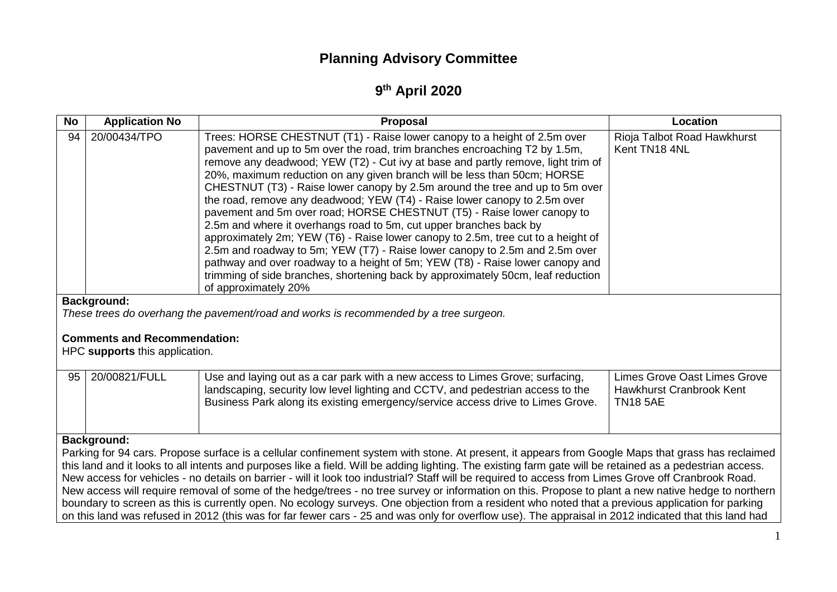# **Planning Advisory Committee**

# **9 th April 2020**

| <b>No</b>                                                                                                                                                                                                                                                                                                         | <b>Application No</b> | Proposal                                                                                                                                                                                                                                                                                                                                                                                                                                                                                                                                                                                                                                                                                                                                                                                                                                                                                                                                                                                            | Location                                                                           |  |  |  |
|-------------------------------------------------------------------------------------------------------------------------------------------------------------------------------------------------------------------------------------------------------------------------------------------------------------------|-----------------------|-----------------------------------------------------------------------------------------------------------------------------------------------------------------------------------------------------------------------------------------------------------------------------------------------------------------------------------------------------------------------------------------------------------------------------------------------------------------------------------------------------------------------------------------------------------------------------------------------------------------------------------------------------------------------------------------------------------------------------------------------------------------------------------------------------------------------------------------------------------------------------------------------------------------------------------------------------------------------------------------------------|------------------------------------------------------------------------------------|--|--|--|
| 94                                                                                                                                                                                                                                                                                                                | 20/00434/TPO          | Trees: HORSE CHESTNUT (T1) - Raise lower canopy to a height of 2.5m over<br>pavement and up to 5m over the road, trim branches encroaching T2 by 1.5m,<br>remove any deadwood; YEW (T2) - Cut ivy at base and partly remove, light trim of<br>20%, maximum reduction on any given branch will be less than 50cm; HORSE<br>CHESTNUT (T3) - Raise lower canopy by 2.5m around the tree and up to 5m over<br>the road, remove any deadwood; YEW (T4) - Raise lower canopy to 2.5m over<br>pavement and 5m over road; HORSE CHESTNUT (T5) - Raise lower canopy to<br>2.5m and where it overhangs road to 5m, cut upper branches back by<br>approximately 2m; YEW (T6) - Raise lower canopy to 2.5m, tree cut to a height of<br>2.5m and roadway to 5m; YEW (T7) - Raise lower canopy to 2.5m and 2.5m over<br>pathway and over roadway to a height of 5m; YEW (T8) - Raise lower canopy and<br>trimming of side branches, shortening back by approximately 50cm, leaf reduction<br>of approximately 20% | Rioja Talbot Road Hawkhurst<br>Kent TN18 4NL                                       |  |  |  |
| <b>Background:</b>                                                                                                                                                                                                                                                                                                |                       |                                                                                                                                                                                                                                                                                                                                                                                                                                                                                                                                                                                                                                                                                                                                                                                                                                                                                                                                                                                                     |                                                                                    |  |  |  |
| These trees do overhang the pavement/road and works is recommended by a tree surgeon.<br><b>Comments and Recommendation:</b><br>HPC supports this application.                                                                                                                                                    |                       |                                                                                                                                                                                                                                                                                                                                                                                                                                                                                                                                                                                                                                                                                                                                                                                                                                                                                                                                                                                                     |                                                                                    |  |  |  |
| 95                                                                                                                                                                                                                                                                                                                | 20/00821/FULL         | Use and laying out as a car park with a new access to Limes Grove; surfacing,<br>landscaping, security low level lighting and CCTV, and pedestrian access to the<br>Business Park along its existing emergency/service access drive to Limes Grove.                                                                                                                                                                                                                                                                                                                                                                                                                                                                                                                                                                                                                                                                                                                                                 | <b>Limes Grove Oast Limes Grove</b><br>Hawkhurst Cranbrook Kent<br><b>TN18 5AE</b> |  |  |  |
| <b>Background:</b>                                                                                                                                                                                                                                                                                                |                       |                                                                                                                                                                                                                                                                                                                                                                                                                                                                                                                                                                                                                                                                                                                                                                                                                                                                                                                                                                                                     |                                                                                    |  |  |  |
| Parking for 94 cars. Propose surface is a cellular confinement system with stone. At present, it appears from Google Maps that grass has reclaimed                                                                                                                                                                |                       |                                                                                                                                                                                                                                                                                                                                                                                                                                                                                                                                                                                                                                                                                                                                                                                                                                                                                                                                                                                                     |                                                                                    |  |  |  |
| this land and it looks to all intents and purposes like a field. Will be adding lighting. The existing farm gate will be retained as a pedestrian access.<br>New access for vehicles - no details on barrier - will it look too industrial? Staff will be required to access from Limes Grove off Cranbrook Road. |                       |                                                                                                                                                                                                                                                                                                                                                                                                                                                                                                                                                                                                                                                                                                                                                                                                                                                                                                                                                                                                     |                                                                                    |  |  |  |
| New access will require removal of some of the hedge/trees - no tree survey or information on this. Propose to plant a new native hedge to northern                                                                                                                                                               |                       |                                                                                                                                                                                                                                                                                                                                                                                                                                                                                                                                                                                                                                                                                                                                                                                                                                                                                                                                                                                                     |                                                                                    |  |  |  |
| boundary to screen as this is currently open. No ecology surveys. One objection from a resident who noted that a previous application for parking<br>on this land was refused in 2012 (this was for far fewer cars - 25 and was only for overflow use). The appraisal in 2012 indicated that this land had        |                       |                                                                                                                                                                                                                                                                                                                                                                                                                                                                                                                                                                                                                                                                                                                                                                                                                                                                                                                                                                                                     |                                                                                    |  |  |  |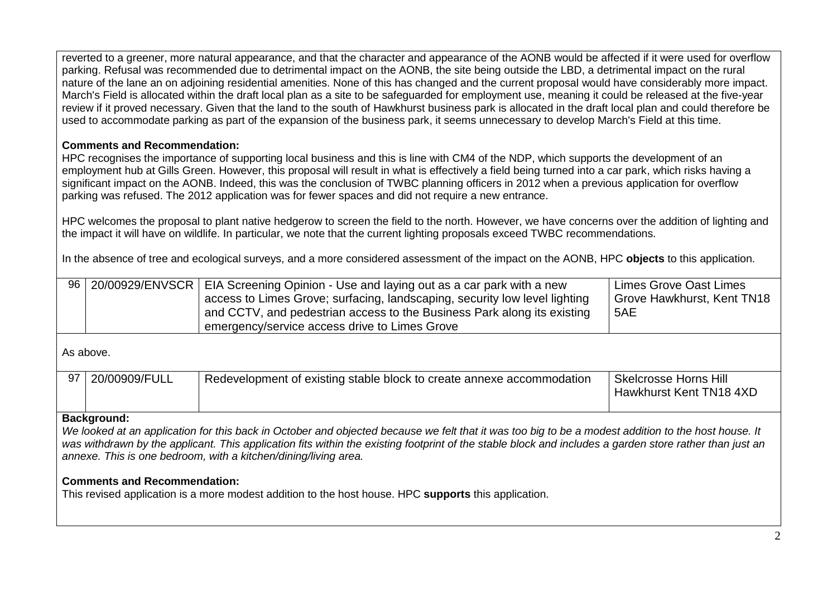reverted to a greener, more natural appearance, and that the character and appearance of the AONB would be affected if it were used for overflow parking. Refusal was recommended due to detrimental impact on the AONB, the site being outside the LBD, a detrimental impact on the rural nature of the lane an on adjoining residential amenities. None of this has changed and the current proposal would have considerably more impact. March's Field is allocated within the draft local plan as a site to be safeguarded for employment use, meaning it could be released at the five-year review if it proved necessary. Given that the land to the south of Hawkhurst business park is allocated in the draft local plan and could therefore be used to accommodate parking as part of the expansion of the business park, it seems unnecessary to develop March's Field at this time.

## **Comments and Recommendation:**

HPC recognises the importance of supporting local business and this is line with CM4 of the NDP, which supports the development of an employment hub at Gills Green. However, this proposal will result in what is effectively a field being turned into a car park, which risks having a significant impact on the AONB. Indeed, this was the conclusion of TWBC planning officers in 2012 when a previous application for overflow parking was refused. The 2012 application was for fewer spaces and did not require a new entrance.

HPC welcomes the proposal to plant native hedgerow to screen the field to the north. However, we have concerns over the addition of lighting and the impact it will have on wildlife. In particular, we note that the current lighting proposals exceed TWBC recommendations.

In the absence of tree and ecological surveys, and a more considered assessment of the impact on the AONB, HPC **objects** to this application.

|           | 96 20/00929/ENVSCR | EIA Screening Opinion - Use and laying out as a car park with a new<br>access to Limes Grove; surfacing, landscaping, security low level lighting<br>and CCTV, and pedestrian access to the Business Park along its existing<br>emergency/service access drive to Limes Grove | Limes Grove Oast Limes<br>Grove Hawkhurst, Kent TN18<br>5AE |  |  |  |
|-----------|--------------------|-------------------------------------------------------------------------------------------------------------------------------------------------------------------------------------------------------------------------------------------------------------------------------|-------------------------------------------------------------|--|--|--|
| As above. |                    |                                                                                                                                                                                                                                                                               |                                                             |  |  |  |
|           | 97 20/00909/FULL   | Redevelopment of existing stable block to create annexe accommodation                                                                                                                                                                                                         | <b>Skelcrosse Horns Hill</b>                                |  |  |  |

### **Background:**

*We looked at an application for this back in October and objected because we felt that it was too big to be a modest addition to the host house. It*  was withdrawn by the applicant. This application fits within the existing footprint of the stable block and includes a garden store rather than just an *annexe. This is one bedroom, with a kitchen/dining/living area.*

### **Comments and Recommendation:**

This revised application is a more modest addition to the host house. HPC **supports** this application.

Hawkhurst Kent TN18 4XD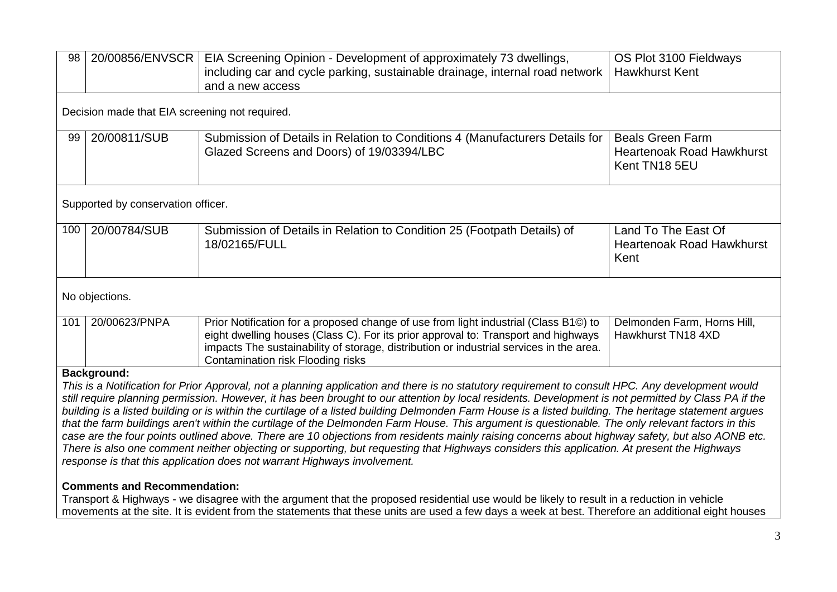| 98                                                                                                                                                                                                                                                                                                                                                                                                                                                                                                                                                                                                                                                                                                                                                                                                 | 20/00856/ENVSCR                                                                                                                                                                                                                                                                                  | EIA Screening Opinion - Development of approximately 73 dwellings,<br>including car and cycle parking, sustainable drainage, internal road network                                                                                                                                                         | OS Plot 3100 Fieldways<br><b>Hawkhurst Kent</b>                              |  |  |  |  |
|----------------------------------------------------------------------------------------------------------------------------------------------------------------------------------------------------------------------------------------------------------------------------------------------------------------------------------------------------------------------------------------------------------------------------------------------------------------------------------------------------------------------------------------------------------------------------------------------------------------------------------------------------------------------------------------------------------------------------------------------------------------------------------------------------|--------------------------------------------------------------------------------------------------------------------------------------------------------------------------------------------------------------------------------------------------------------------------------------------------|------------------------------------------------------------------------------------------------------------------------------------------------------------------------------------------------------------------------------------------------------------------------------------------------------------|------------------------------------------------------------------------------|--|--|--|--|
|                                                                                                                                                                                                                                                                                                                                                                                                                                                                                                                                                                                                                                                                                                                                                                                                    |                                                                                                                                                                                                                                                                                                  | and a new access                                                                                                                                                                                                                                                                                           |                                                                              |  |  |  |  |
| Decision made that EIA screening not required.                                                                                                                                                                                                                                                                                                                                                                                                                                                                                                                                                                                                                                                                                                                                                     |                                                                                                                                                                                                                                                                                                  |                                                                                                                                                                                                                                                                                                            |                                                                              |  |  |  |  |
| 99                                                                                                                                                                                                                                                                                                                                                                                                                                                                                                                                                                                                                                                                                                                                                                                                 | 20/00811/SUB                                                                                                                                                                                                                                                                                     | Submission of Details in Relation to Conditions 4 (Manufacturers Details for<br>Glazed Screens and Doors) of 19/03394/LBC                                                                                                                                                                                  | <b>Beals Green Farm</b><br><b>Heartenoak Road Hawkhurst</b><br>Kent TN18 5EU |  |  |  |  |
| Supported by conservation officer.                                                                                                                                                                                                                                                                                                                                                                                                                                                                                                                                                                                                                                                                                                                                                                 |                                                                                                                                                                                                                                                                                                  |                                                                                                                                                                                                                                                                                                            |                                                                              |  |  |  |  |
| 100                                                                                                                                                                                                                                                                                                                                                                                                                                                                                                                                                                                                                                                                                                                                                                                                | 20/00784/SUB                                                                                                                                                                                                                                                                                     | Submission of Details in Relation to Condition 25 (Footpath Details) of<br>18/02165/FULL                                                                                                                                                                                                                   | Land To The East Of<br><b>Heartenoak Road Hawkhurst</b><br>Kent              |  |  |  |  |
| No objections.                                                                                                                                                                                                                                                                                                                                                                                                                                                                                                                                                                                                                                                                                                                                                                                     |                                                                                                                                                                                                                                                                                                  |                                                                                                                                                                                                                                                                                                            |                                                                              |  |  |  |  |
| 101                                                                                                                                                                                                                                                                                                                                                                                                                                                                                                                                                                                                                                                                                                                                                                                                | 20/00623/PNPA                                                                                                                                                                                                                                                                                    | Prior Notification for a proposed change of use from light industrial (Class B1©) to<br>eight dwelling houses (Class C). For its prior approval to: Transport and highways<br>impacts The sustainability of storage, distribution or industrial services in the area.<br>Contamination risk Flooding risks | Delmonden Farm, Horns Hill,<br>Hawkhurst TN18 4XD                            |  |  |  |  |
| <b>Background:</b><br>This is a Notification for Prior Approval, not a planning application and there is no statutory requirement to consult HPC. Any development would<br>still require planning permission. However, it has been brought to our attention by local residents. Development is not permitted by Class PA if the<br>building is a listed building or is within the curtilage of a listed building Delmonden Farm House is a listed building. The heritage statement argues<br>that the farm buildings aren't within the curtilage of the Delmonden Farm House. This argument is questionable. The only relevant factors in this<br>case are the four points outlined above. There are 10 objections from residents mainly raising concerns about highway safety, but also AONB etc. |                                                                                                                                                                                                                                                                                                  |                                                                                                                                                                                                                                                                                                            |                                                                              |  |  |  |  |
| There is also one comment neither objecting or supporting, but requesting that Highways considers this application. At present the Highways<br>response is that this application does not warrant Highways involvement.                                                                                                                                                                                                                                                                                                                                                                                                                                                                                                                                                                            |                                                                                                                                                                                                                                                                                                  |                                                                                                                                                                                                                                                                                                            |                                                                              |  |  |  |  |
| <b>Comments and Recommendation:</b>                                                                                                                                                                                                                                                                                                                                                                                                                                                                                                                                                                                                                                                                                                                                                                |                                                                                                                                                                                                                                                                                                  |                                                                                                                                                                                                                                                                                                            |                                                                              |  |  |  |  |
|                                                                                                                                                                                                                                                                                                                                                                                                                                                                                                                                                                                                                                                                                                                                                                                                    | Transport & Highways - we disagree with the argument that the proposed residential use would be likely to result in a reduction in vehicle<br>movements at the site. It is evident from the statements that these units are used a few days a week at best. Therefore an additional eight houses |                                                                                                                                                                                                                                                                                                            |                                                                              |  |  |  |  |